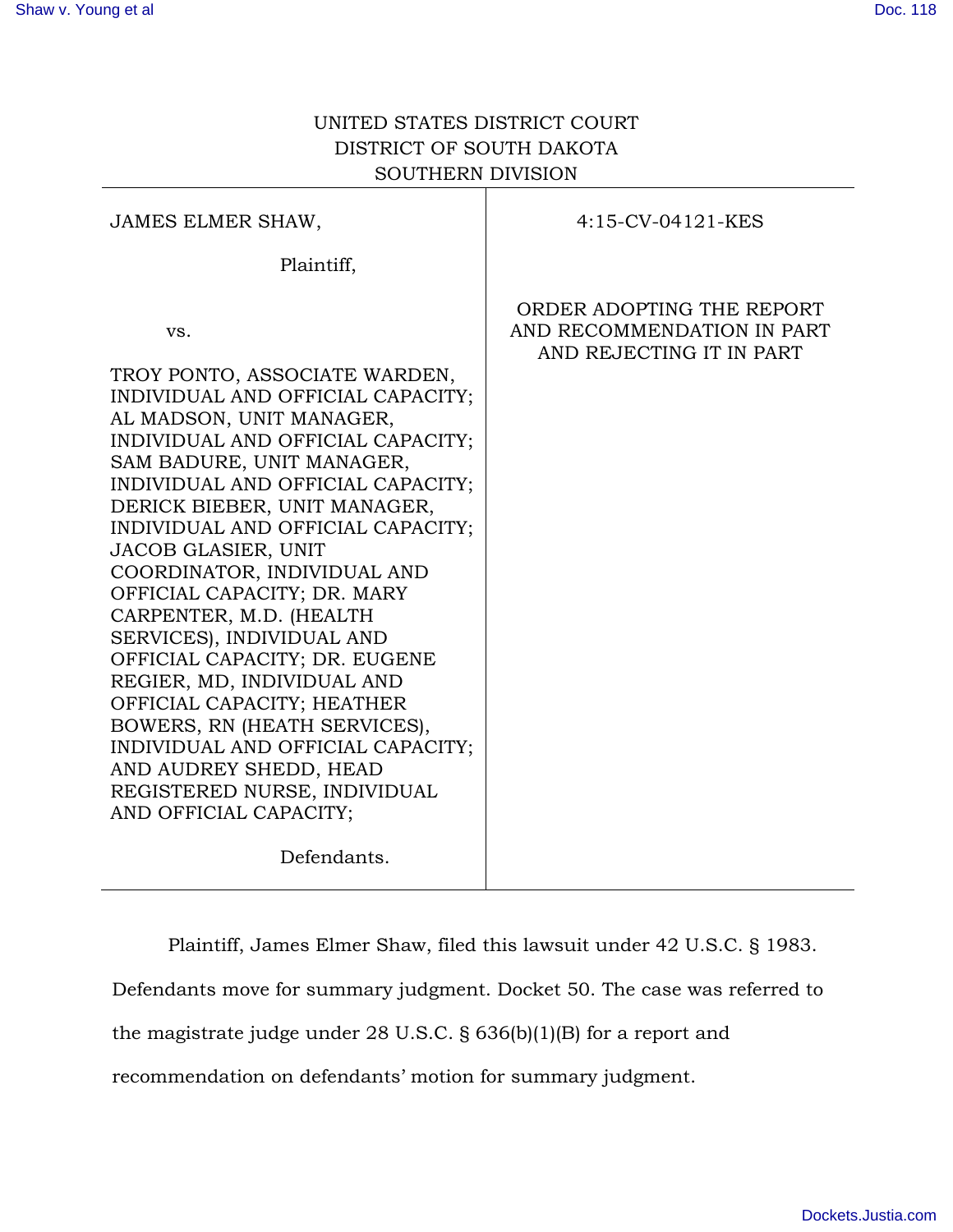# UNITED STATES DISTRICT COURT DISTRICT OF SOUTH DAKOTA SOUTHERN DIVISION

| JAMES ELMER SHAW,                                                                                                                                                                                                                                                                                                                                                                                                                                                                                                                                                                                                                                                                                          | 4:15-CV-04121-KES                                                                   |
|------------------------------------------------------------------------------------------------------------------------------------------------------------------------------------------------------------------------------------------------------------------------------------------------------------------------------------------------------------------------------------------------------------------------------------------------------------------------------------------------------------------------------------------------------------------------------------------------------------------------------------------------------------------------------------------------------------|-------------------------------------------------------------------------------------|
| Plaintiff,                                                                                                                                                                                                                                                                                                                                                                                                                                                                                                                                                                                                                                                                                                 |                                                                                     |
| VS.<br>TROY PONTO, ASSOCIATE WARDEN,<br>INDIVIDUAL AND OFFICIAL CAPACITY;<br>AL MADSON, UNIT MANAGER,<br>INDIVIDUAL AND OFFICIAL CAPACITY;<br>SAM BADURE, UNIT MANAGER,<br>INDIVIDUAL AND OFFICIAL CAPACITY;<br>DERICK BIEBER, UNIT MANAGER,<br>INDIVIDUAL AND OFFICIAL CAPACITY;<br><b>JACOB GLASIER, UNIT</b><br>COORDINATOR, INDIVIDUAL AND<br>OFFICIAL CAPACITY; DR. MARY<br>CARPENTER, M.D. (HEALTH<br>SERVICES), INDIVIDUAL AND<br>OFFICIAL CAPACITY; DR. EUGENE<br>REGIER, MD, INDIVIDUAL AND<br>OFFICIAL CAPACITY; HEATHER<br>BOWERS, RN (HEATH SERVICES),<br>INDIVIDUAL AND OFFICIAL CAPACITY;<br>AND AUDREY SHEDD, HEAD<br>REGISTERED NURSE, INDIVIDUAL<br>AND OFFICIAL CAPACITY;<br>Defendants. | ORDER ADOPTING THE REPORT<br>AND RECOMMENDATION IN PART<br>AND REJECTING IT IN PART |
|                                                                                                                                                                                                                                                                                                                                                                                                                                                                                                                                                                                                                                                                                                            |                                                                                     |

Plaintiff, James Elmer Shaw, filed this lawsuit under 42 U.S.C. § 1983.

Defendants move for summary judgment. Docket 50. The case was referred to

the magistrate judge under 28 U.S.C. § 636(b)(1)(B) for a report and

recommendation on defendants' motion for summary judgment.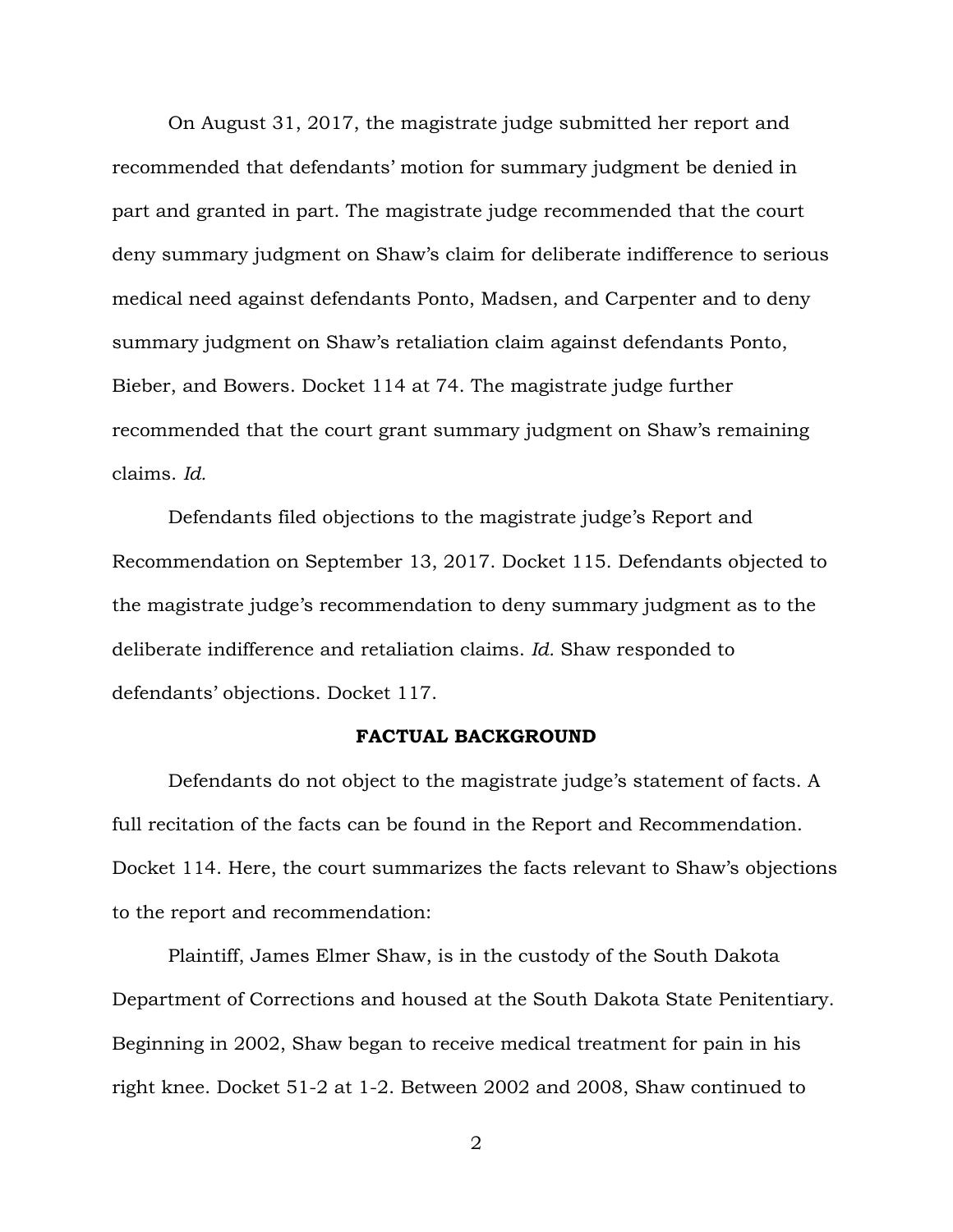On August 31, 2017, the magistrate judge submitted her report and recommended that defendants' motion for summary judgment be denied in part and granted in part. The magistrate judge recommended that the court deny summary judgment on Shaw's claim for deliberate indifference to serious medical need against defendants Ponto, Madsen, and Carpenter and to deny summary judgment on Shaw's retaliation claim against defendants Ponto, Bieber, and Bowers. Docket 114 at 74. The magistrate judge further recommended that the court grant summary judgment on Shaw's remaining claims. *Id.*

 Defendants filed objections to the magistrate judge's Report and Recommendation on September 13, 2017. Docket 115. Defendants objected to the magistrate judge's recommendation to deny summary judgment as to the deliberate indifference and retaliation claims. *Id.* Shaw responded to defendants' objections. Docket 117.

#### **FACTUAL BACKGROUND**

 Defendants do not object to the magistrate judge's statement of facts. A full recitation of the facts can be found in the Report and Recommendation. Docket 114. Here, the court summarizes the facts relevant to Shaw's objections to the report and recommendation:

 Plaintiff, James Elmer Shaw, is in the custody of the South Dakota Department of Corrections and housed at the South Dakota State Penitentiary. Beginning in 2002, Shaw began to receive medical treatment for pain in his right knee. Docket 51-2 at 1-2. Between 2002 and 2008, Shaw continued to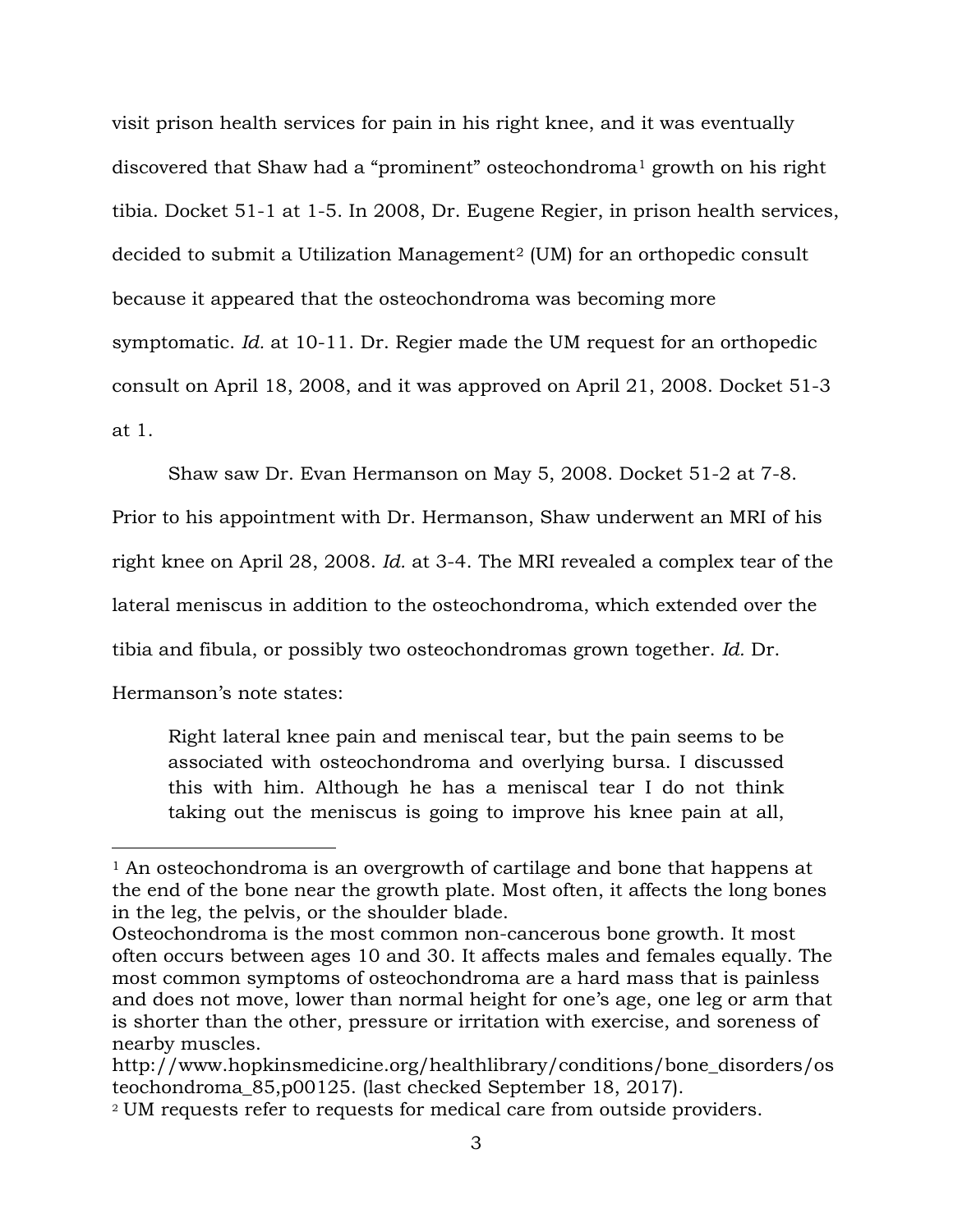visit prison health services for pain in his right knee, and it was eventually discovered that Shaw had a "prominent" osteochondroma[1](#page-2-0) growth on his right tibia. Docket 51-1 at 1-5. In 2008, Dr. Eugene Regier, in prison health services, decided to submit a Utilization Management[2](#page-2-1) (UM) for an orthopedic consult because it appeared that the osteochondroma was becoming more symptomatic. *Id.* at 10-11. Dr. Regier made the UM request for an orthopedic consult on April 18, 2008, and it was approved on April 21, 2008. Docket 51-3 at 1.

Shaw saw Dr. Evan Hermanson on May 5, 2008. Docket 51-2 at 7-8.

Prior to his appointment with Dr. Hermanson, Shaw underwent an MRI of his right knee on April 28, 2008. *Id.* at 3-4. The MRI revealed a complex tear of the lateral meniscus in addition to the osteochondroma, which extended over the tibia and fibula, or possibly two osteochondromas grown together. *Id.* Dr. Hermanson's note states:

Right lateral knee pain and meniscal tear, but the pain seems to be associated with osteochondroma and overlying bursa. I discussed this with him. Although he has a meniscal tear I do not think taking out the meniscus is going to improve his knee pain at all,

 $\overline{a}$ 

<span id="page-2-0"></span><sup>&</sup>lt;sup>1</sup> An osteochondroma is an overgrowth of cartilage and bone that happens at the end of the bone near the growth plate. Most often, it affects the long bones in the leg, the pelvis, or the shoulder blade.

Osteochondroma is the most common non-cancerous bone growth. It most often occurs between ages 10 and 30. It affects males and females equally. The most common symptoms of osteochondroma are a hard mass that is painless and does not move, lower than normal height for one's age, one leg or arm that is shorter than the other, pressure or irritation with exercise, and soreness of nearby muscles.

http://www.hopkinsmedicine.org/healthlibrary/conditions/bone\_disorders/os teochondroma\_85,p00125. (last checked September 18, 2017).

<span id="page-2-1"></span><sup>2</sup> UM requests refer to requests for medical care from outside providers.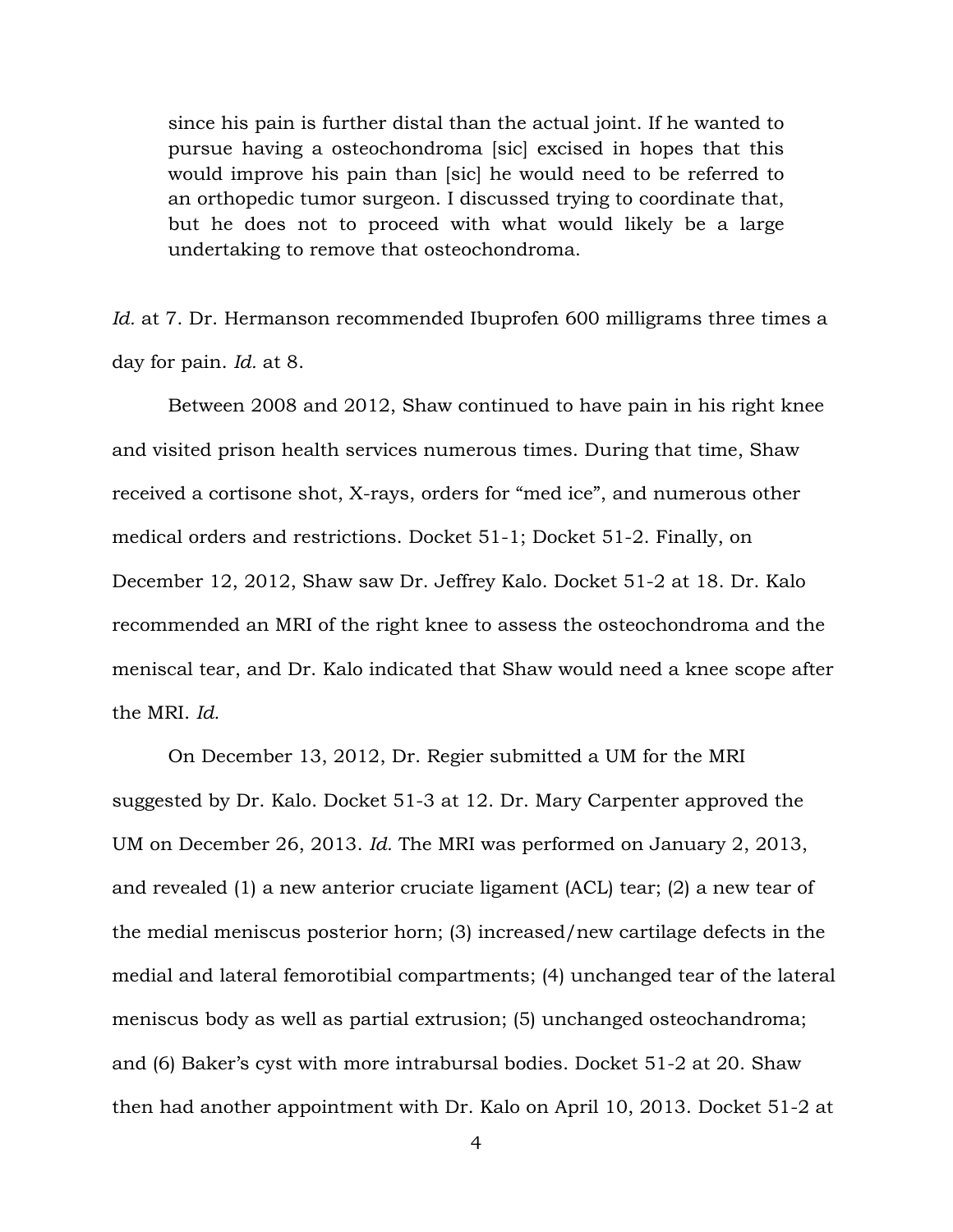since his pain is further distal than the actual joint. If he wanted to pursue having a osteochondroma [sic] excised in hopes that this would improve his pain than [sic] he would need to be referred to an orthopedic tumor surgeon. I discussed trying to coordinate that, but he does not to proceed with what would likely be a large undertaking to remove that osteochondroma.

*Id.* at 7. Dr. Hermanson recommended Ibuprofen 600 milligrams three times a day for pain. *Id.* at 8.

 Between 2008 and 2012, Shaw continued to have pain in his right knee and visited prison health services numerous times. During that time, Shaw received a cortisone shot, X-rays, orders for "med ice", and numerous other medical orders and restrictions. Docket 51-1; Docket 51-2. Finally, on December 12, 2012, Shaw saw Dr. Jeffrey Kalo. Docket 51-2 at 18. Dr. Kalo recommended an MRI of the right knee to assess the osteochondroma and the meniscal tear, and Dr. Kalo indicated that Shaw would need a knee scope after the MRI. *Id.*

 On December 13, 2012, Dr. Regier submitted a UM for the MRI suggested by Dr. Kalo. Docket 51-3 at 12. Dr. Mary Carpenter approved the UM on December 26, 2013. *Id.* The MRI was performed on January 2, 2013, and revealed (1) a new anterior cruciate ligament (ACL) tear; (2) a new tear of the medial meniscus posterior horn; (3) increased/new cartilage defects in the medial and lateral femorotibial compartments; (4) unchanged tear of the lateral meniscus body as well as partial extrusion; (5) unchanged osteochandroma; and (6) Baker's cyst with more intrabursal bodies. Docket 51-2 at 20. Shaw then had another appointment with Dr. Kalo on April 10, 2013. Docket 51-2 at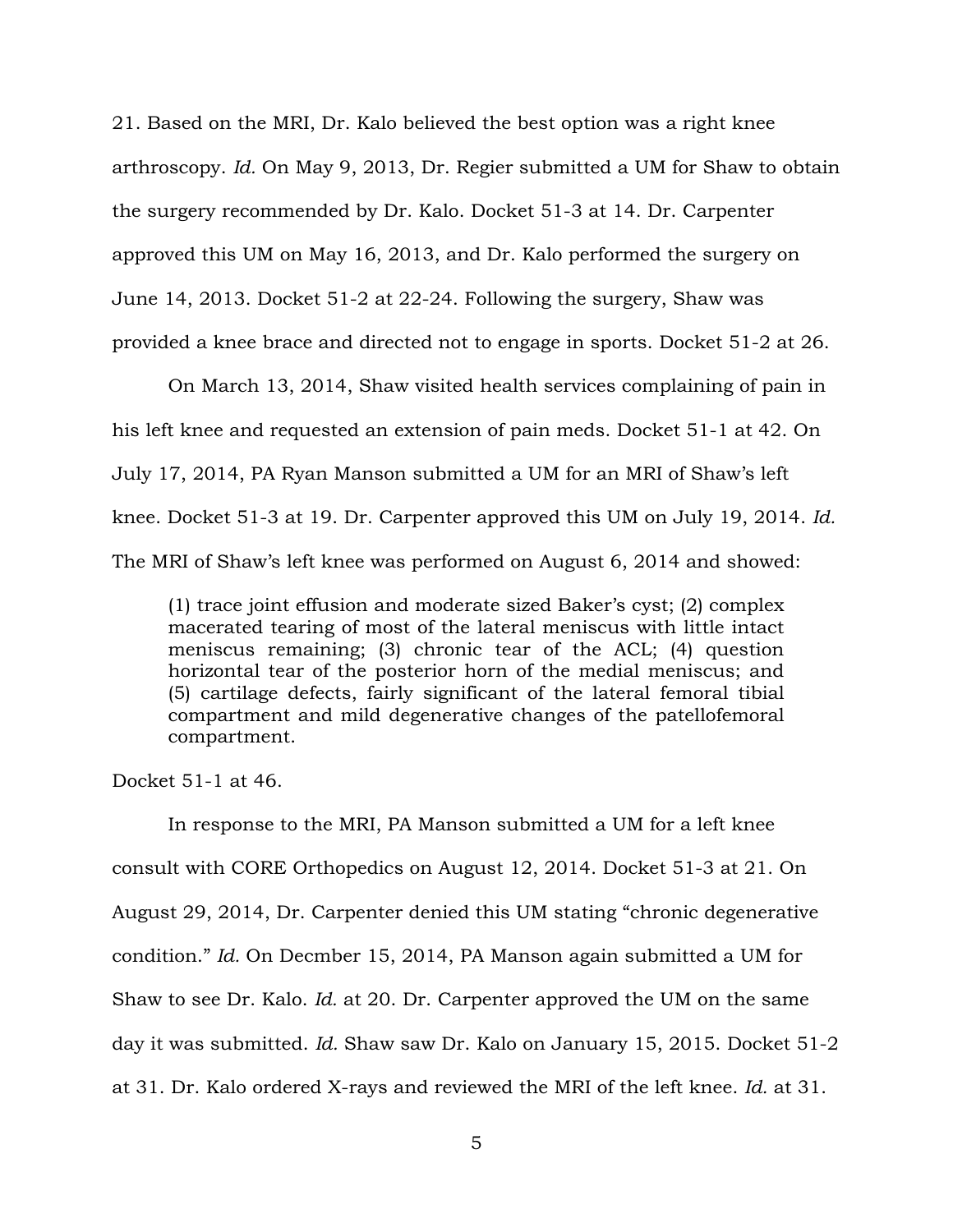21. Based on the MRI, Dr. Kalo believed the best option was a right knee arthroscopy. *Id.* On May 9, 2013, Dr. Regier submitted a UM for Shaw to obtain the surgery recommended by Dr. Kalo. Docket 51-3 at 14. Dr. Carpenter approved this UM on May 16, 2013, and Dr. Kalo performed the surgery on June 14, 2013. Docket 51-2 at 22-24. Following the surgery, Shaw was provided a knee brace and directed not to engage in sports. Docket 51-2 at 26.

 On March 13, 2014, Shaw visited health services complaining of pain in his left knee and requested an extension of pain meds. Docket 51-1 at 42. On July 17, 2014, PA Ryan Manson submitted a UM for an MRI of Shaw's left knee. Docket 51-3 at 19. Dr. Carpenter approved this UM on July 19, 2014. *Id.* The MRI of Shaw's left knee was performed on August 6, 2014 and showed:

(1) trace joint effusion and moderate sized Baker's cyst; (2) complex macerated tearing of most of the lateral meniscus with little intact meniscus remaining; (3) chronic tear of the ACL; (4) question horizontal tear of the posterior horn of the medial meniscus; and (5) cartilage defects, fairly significant of the lateral femoral tibial compartment and mild degenerative changes of the patellofemoral compartment.

Docket 51-1 at 46.

 In response to the MRI, PA Manson submitted a UM for a left knee consult with CORE Orthopedics on August 12, 2014. Docket 51-3 at 21. On August 29, 2014, Dr. Carpenter denied this UM stating "chronic degenerative condition." *Id.* On Decmber 15, 2014, PA Manson again submitted a UM for Shaw to see Dr. Kalo. *Id.* at 20. Dr. Carpenter approved the UM on the same day it was submitted. *Id.* Shaw saw Dr. Kalo on January 15, 2015. Docket 51-2 at 31. Dr. Kalo ordered X-rays and reviewed the MRI of the left knee. *Id.* at 31.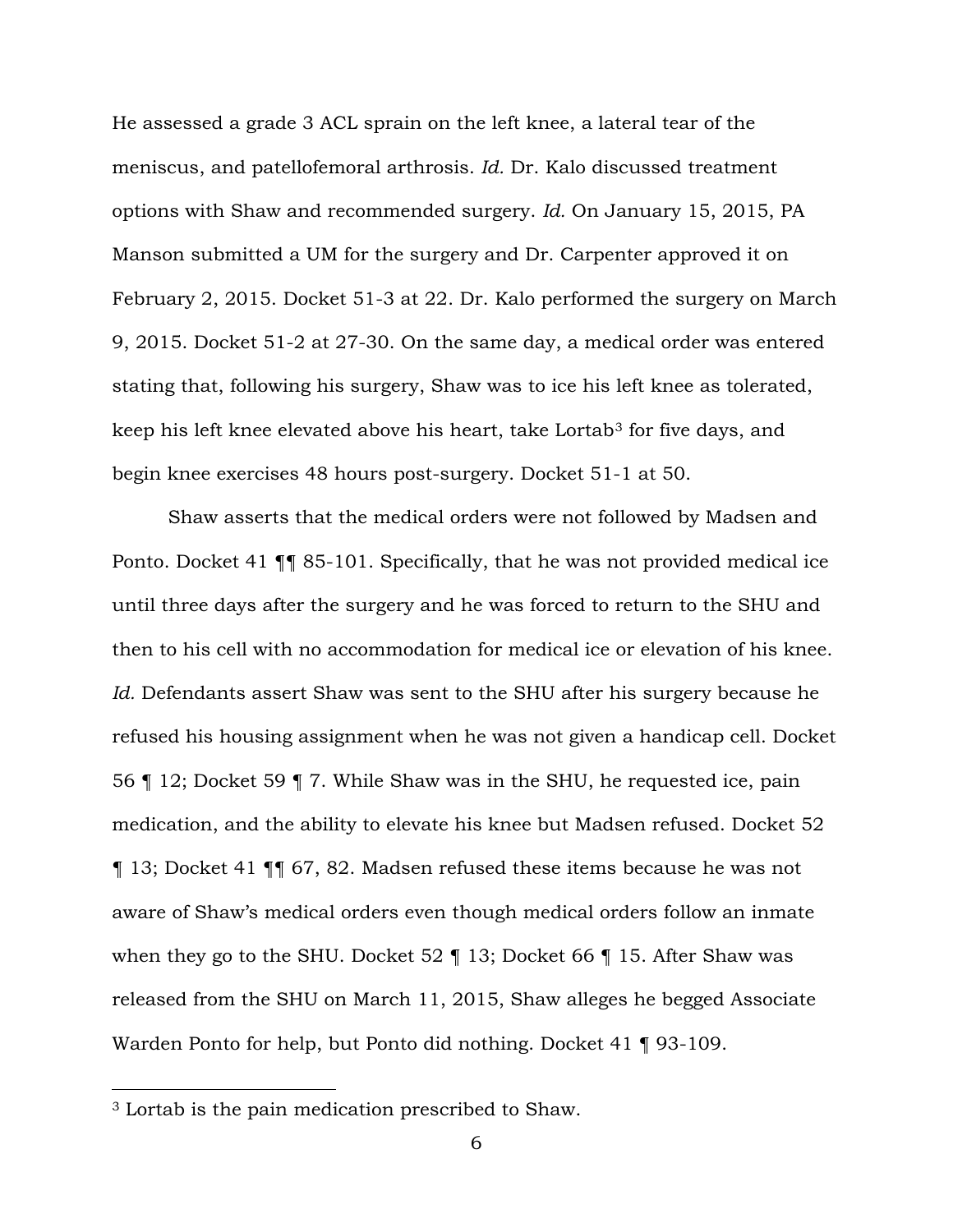He assessed a grade 3 ACL sprain on the left knee, a lateral tear of the meniscus, and patellofemoral arthrosis. *Id.* Dr. Kalo discussed treatment options with Shaw and recommended surgery. *Id.* On January 15, 2015, PA Manson submitted a UM for the surgery and Dr. Carpenter approved it on February 2, 2015. Docket 51-3 at 22. Dr. Kalo performed the surgery on March 9, 2015. Docket 51-2 at 27-30. On the same day, a medical order was entered stating that, following his surgery, Shaw was to ice his left knee as tolerated, keep his left knee elevated above his heart, take Lortab<sup>[3](#page-5-0)</sup> for five days, and begin knee exercises 48 hours post-surgery. Docket 51-1 at 50.

 Shaw asserts that the medical orders were not followed by Madsen and Ponto. Docket 41 ¶¶ 85-101. Specifically, that he was not provided medical ice until three days after the surgery and he was forced to return to the SHU and then to his cell with no accommodation for medical ice or elevation of his knee. *Id.* Defendants assert Shaw was sent to the SHU after his surgery because he refused his housing assignment when he was not given a handicap cell. Docket 56 ¶ 12; Docket 59 ¶ 7. While Shaw was in the SHU, he requested ice, pain medication, and the ability to elevate his knee but Madsen refused. Docket 52 ¶ 13; Docket 41 ¶¶ 67, 82. Madsen refused these items because he was not aware of Shaw's medical orders even though medical orders follow an inmate when they go to the SHU. Docket 52  $\parallel$  13; Docket 66  $\parallel$  15. After Shaw was released from the SHU on March 11, 2015, Shaw alleges he begged Associate Warden Ponto for help, but Ponto did nothing. Docket 41 ¶ 93-109.

 $\overline{a}$ 

<span id="page-5-0"></span><sup>3</sup> Lortab is the pain medication prescribed to Shaw.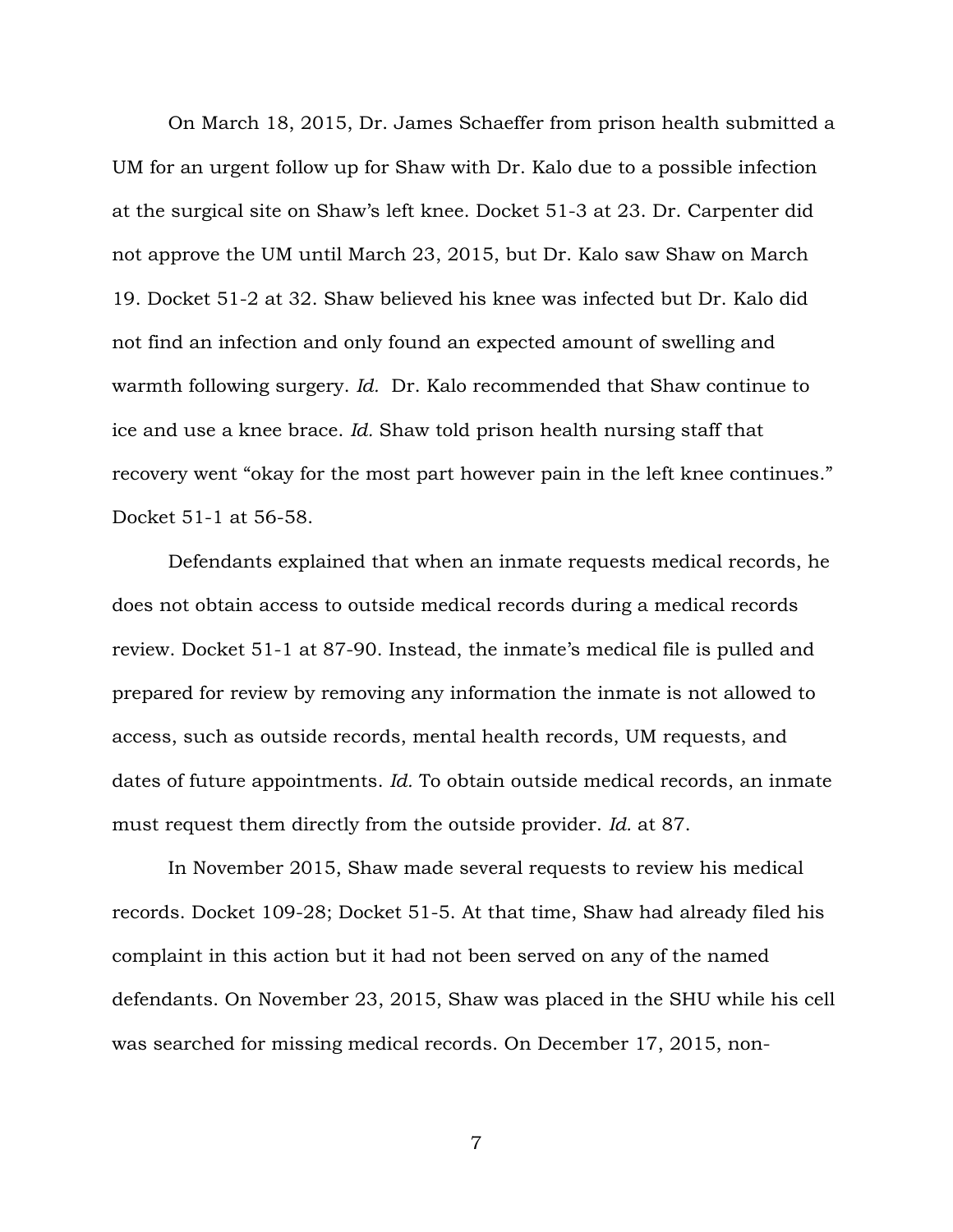On March 18, 2015, Dr. James Schaeffer from prison health submitted a UM for an urgent follow up for Shaw with Dr. Kalo due to a possible infection at the surgical site on Shaw's left knee. Docket 51-3 at 23. Dr. Carpenter did not approve the UM until March 23, 2015, but Dr. Kalo saw Shaw on March 19. Docket 51-2 at 32. Shaw believed his knee was infected but Dr. Kalo did not find an infection and only found an expected amount of swelling and warmth following surgery. *Id.* Dr. Kalo recommended that Shaw continue to ice and use a knee brace. *Id.* Shaw told prison health nursing staff that recovery went "okay for the most part however pain in the left knee continues." Docket 51-1 at 56-58.

 Defendants explained that when an inmate requests medical records, he does not obtain access to outside medical records during a medical records review. Docket 51-1 at 87-90. Instead, the inmate's medical file is pulled and prepared for review by removing any information the inmate is not allowed to access, such as outside records, mental health records, UM requests, and dates of future appointments. *Id.* To obtain outside medical records, an inmate must request them directly from the outside provider. *Id.* at 87.

 In November 2015, Shaw made several requests to review his medical records. Docket 109-28; Docket 51-5. At that time, Shaw had already filed his complaint in this action but it had not been served on any of the named defendants. On November 23, 2015, Shaw was placed in the SHU while his cell was searched for missing medical records. On December 17, 2015, non-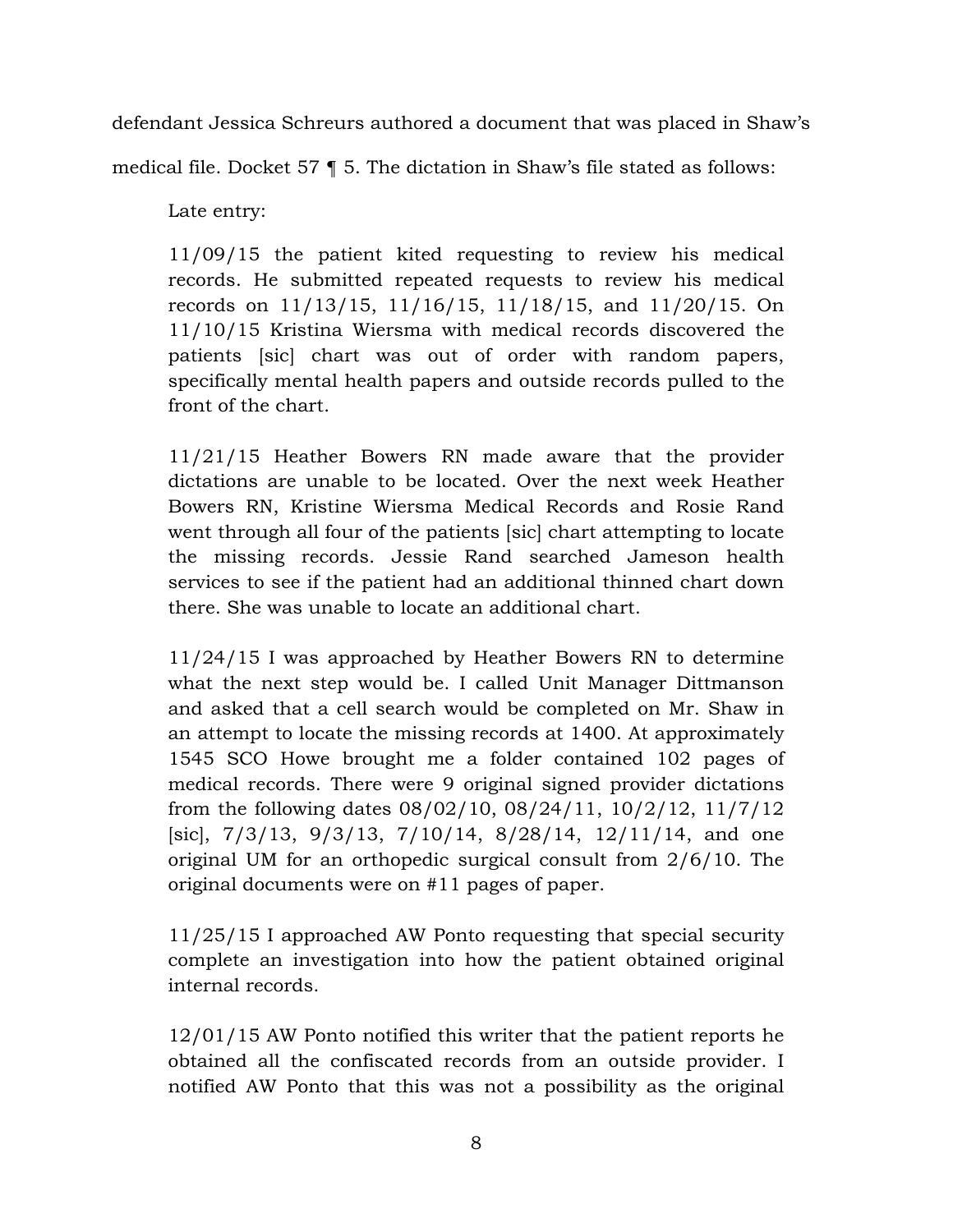defendant Jessica Schreurs authored a document that was placed in Shaw's

medical file. Docket 57 ¶ 5. The dictation in Shaw's file stated as follows:

Late entry:

11/09/15 the patient kited requesting to review his medical records. He submitted repeated requests to review his medical records on 11/13/15, 11/16/15, 11/18/15, and 11/20/15. On 11/10/15 Kristina Wiersma with medical records discovered the patients [sic] chart was out of order with random papers, specifically mental health papers and outside records pulled to the front of the chart.

11/21/15 Heather Bowers RN made aware that the provider dictations are unable to be located. Over the next week Heather Bowers RN, Kristine Wiersma Medical Records and Rosie Rand went through all four of the patients [sic] chart attempting to locate the missing records. Jessie Rand searched Jameson health services to see if the patient had an additional thinned chart down there. She was unable to locate an additional chart.

11/24/15 I was approached by Heather Bowers RN to determine what the next step would be. I called Unit Manager Dittmanson and asked that a cell search would be completed on Mr. Shaw in an attempt to locate the missing records at 1400. At approximately 1545 SCO Howe brought me a folder contained 102 pages of medical records. There were 9 original signed provider dictations from the following dates 08/02/10, 08/24/11, 10/2/12, 11/7/12 [sic], 7/3/13, 9/3/13, 7/10/14, 8/28/14, 12/11/14, and one original UM for an orthopedic surgical consult from 2/6/10. The original documents were on #11 pages of paper.

11/25/15 I approached AW Ponto requesting that special security complete an investigation into how the patient obtained original internal records.

12/01/15 AW Ponto notified this writer that the patient reports he obtained all the confiscated records from an outside provider. I notified AW Ponto that this was not a possibility as the original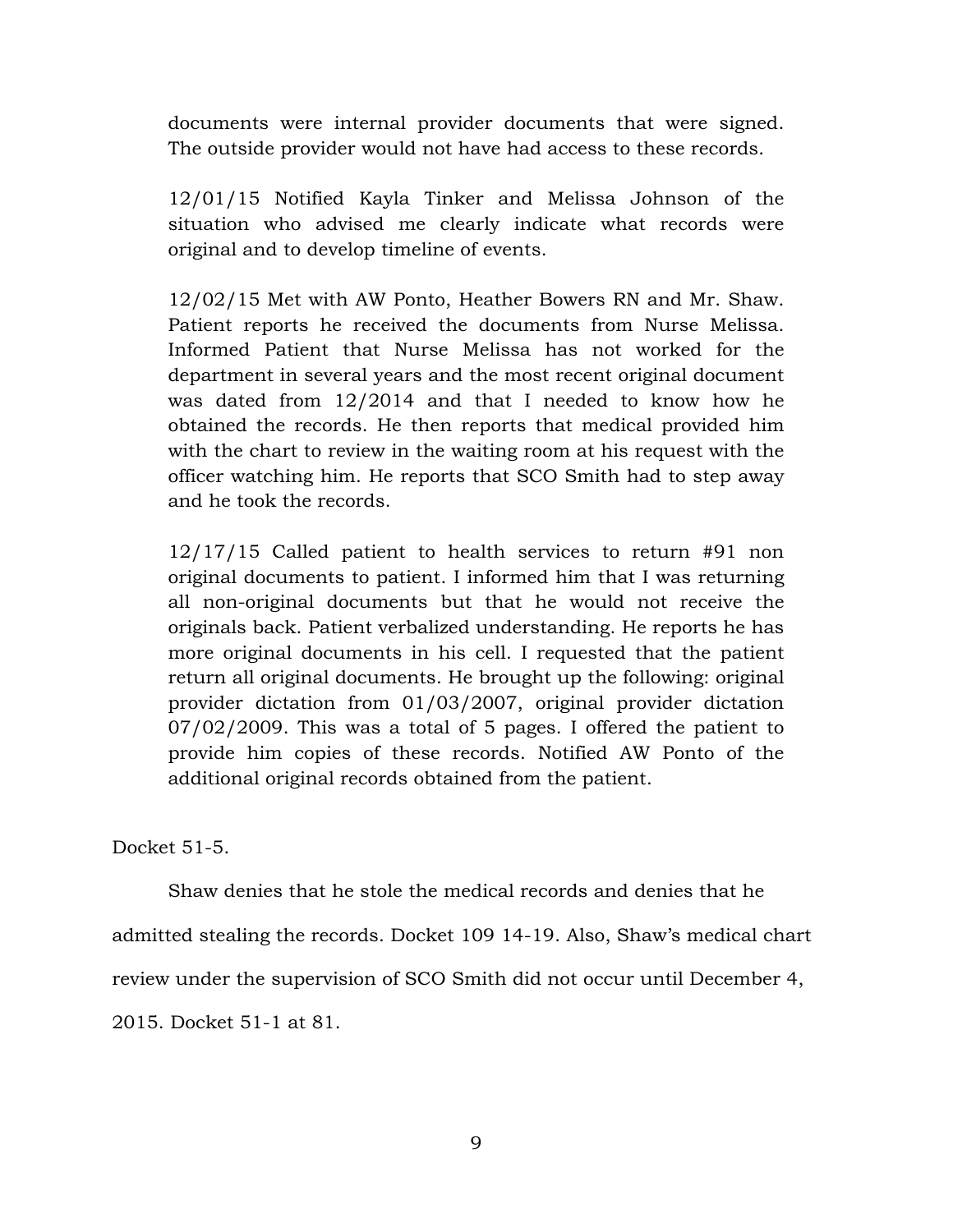documents were internal provider documents that were signed. The outside provider would not have had access to these records.

12/01/15 Notified Kayla Tinker and Melissa Johnson of the situation who advised me clearly indicate what records were original and to develop timeline of events.

12/02/15 Met with AW Ponto, Heather Bowers RN and Mr. Shaw. Patient reports he received the documents from Nurse Melissa. Informed Patient that Nurse Melissa has not worked for the department in several years and the most recent original document was dated from 12/2014 and that I needed to know how he obtained the records. He then reports that medical provided him with the chart to review in the waiting room at his request with the officer watching him. He reports that SCO Smith had to step away and he took the records.

12/17/15 Called patient to health services to return #91 non original documents to patient. I informed him that I was returning all non-original documents but that he would not receive the originals back. Patient verbalized understanding. He reports he has more original documents in his cell. I requested that the patient return all original documents. He brought up the following: original provider dictation from 01/03/2007, original provider dictation 07/02/2009. This was a total of 5 pages. I offered the patient to provide him copies of these records. Notified AW Ponto of the additional original records obtained from the patient.

Docket 51-5.

Shaw denies that he stole the medical records and denies that he

admitted stealing the records. Docket 109 14-19. Also, Shaw's medical chart

review under the supervision of SCO Smith did not occur until December 4,

2015. Docket 51-1 at 81.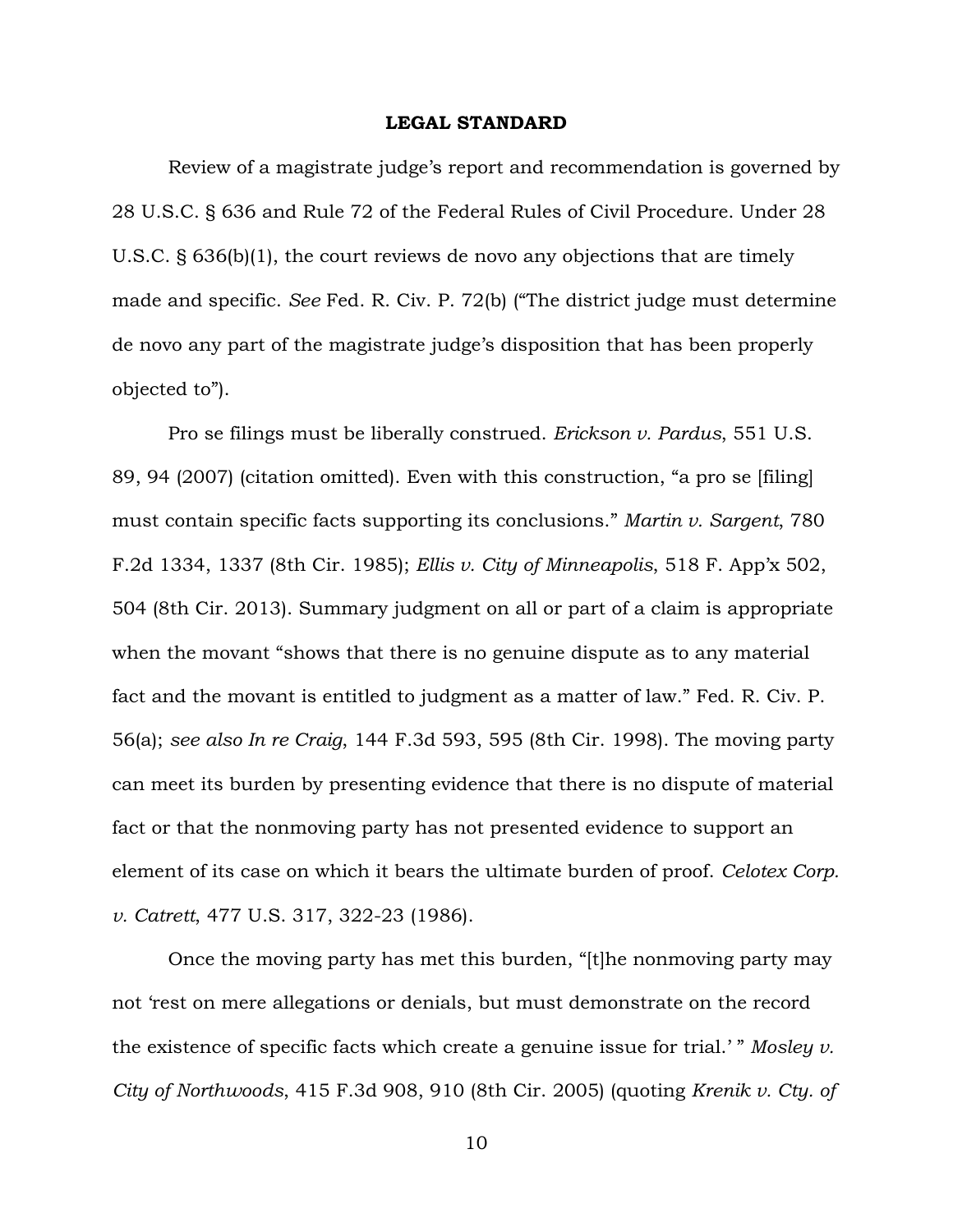#### **LEGAL STANDARD**

 Review of a magistrate judge's report and recommendation is governed by 28 U.S.C. § 636 and Rule 72 of the Federal Rules of Civil Procedure. Under 28 U.S.C. § 636(b)(1), the court reviews de novo any objections that are timely made and specific. *See* Fed. R. Civ. P. 72(b) ("The district judge must determine de novo any part of the magistrate judge's disposition that has been properly objected to").

Pro se filings must be liberally construed. *Erickson v. Pardus*, 551 U.S. 89, 94 (2007) (citation omitted). Even with this construction, "a pro se [filing] must contain specific facts supporting its conclusions." *Martin v. Sargent*, 780 F.2d 1334, 1337 (8th Cir. 1985); *Ellis v. City of Minneapolis*, 518 F. App'x 502, 504 (8th Cir. 2013). Summary judgment on all or part of a claim is appropriate when the movant "shows that there is no genuine dispute as to any material fact and the movant is entitled to judgment as a matter of law." Fed. R. Civ. P. 56(a); *see also In re Craig*, 144 F.3d 593, 595 (8th Cir. 1998). The moving party can meet its burden by presenting evidence that there is no dispute of material fact or that the nonmoving party has not presented evidence to support an element of its case on which it bears the ultimate burden of proof. *Celotex Corp. v. Catrett*, 477 U.S. 317, 322-23 (1986).

Once the moving party has met this burden, "[t]he nonmoving party may not 'rest on mere allegations or denials, but must demonstrate on the record the existence of specific facts which create a genuine issue for trial.' " *Mosley v. City of Northwoods*, 415 F.3d 908, 910 (8th Cir. 2005) (quoting *Krenik v. Cty. of*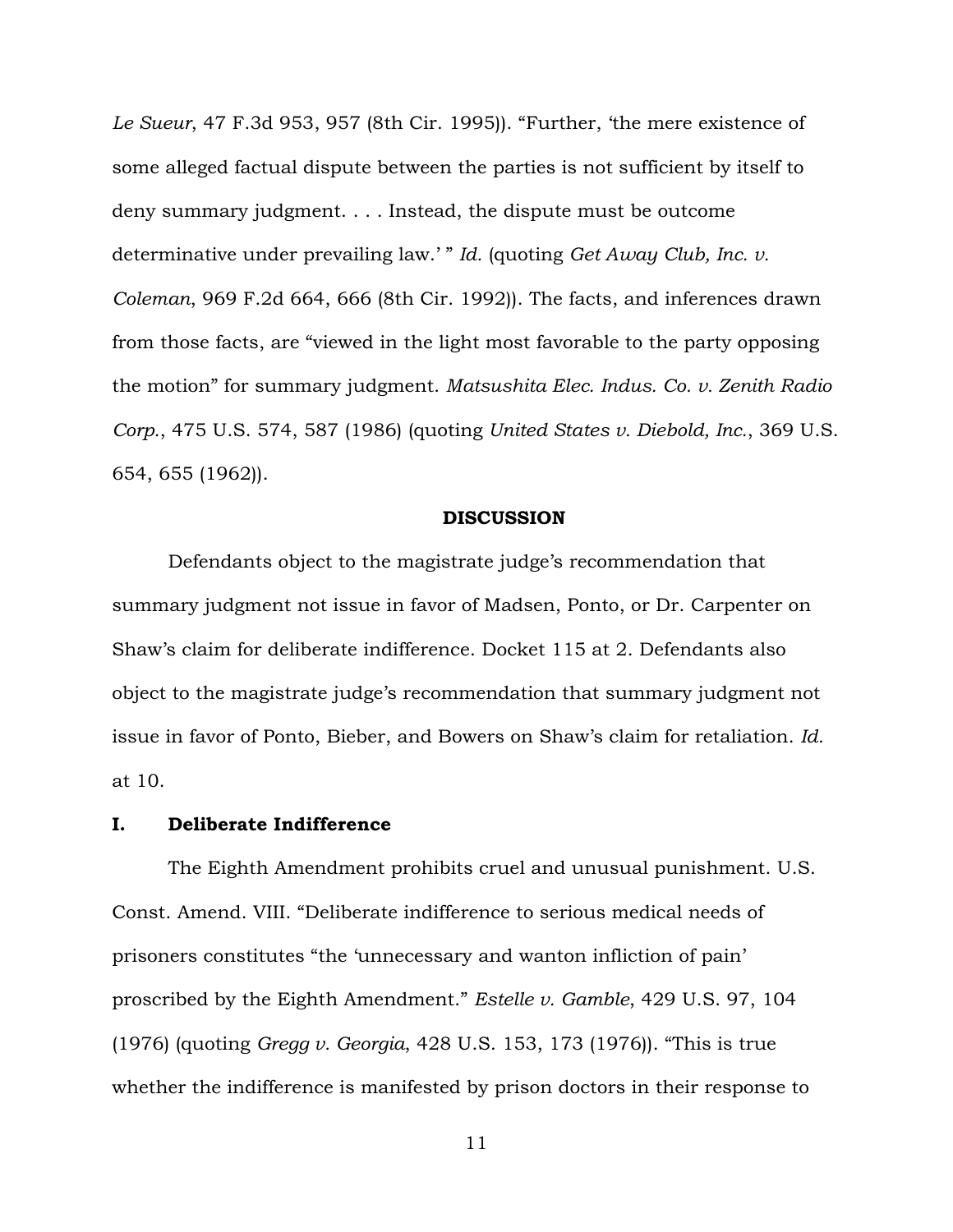*Le Sueur*, 47 F.3d 953, 957 (8th Cir. 1995)). "Further, 'the mere existence of some alleged factual dispute between the parties is not sufficient by itself to deny summary judgment. . . . Instead, the dispute must be outcome determinative under prevailing law.' " *Id.* (quoting *Get Away Club, Inc. v. Coleman*, 969 F.2d 664, 666 (8th Cir. 1992)). The facts, and inferences drawn from those facts, are "viewed in the light most favorable to the party opposing the motion" for summary judgment. *Matsushita Elec. Indus. Co. v. Zenith Radio Corp.*, 475 U.S. 574, 587 (1986) (quoting *United States v. Diebold, Inc.*, 369 U.S. 654, 655 (1962)).

#### **DISCUSSION**

Defendants object to the magistrate judge's recommendation that summary judgment not issue in favor of Madsen, Ponto, or Dr. Carpenter on Shaw's claim for deliberate indifference. Docket 115 at 2. Defendants also object to the magistrate judge's recommendation that summary judgment not issue in favor of Ponto, Bieber, and Bowers on Shaw's claim for retaliation. *Id.* at 10.

# **I. Deliberate Indifference**

The Eighth Amendment prohibits cruel and unusual punishment. U.S. Const. Amend. VIII. "Deliberate indifference to serious medical needs of prisoners constitutes "the 'unnecessary and wanton infliction of pain' proscribed by the Eighth Amendment." *Estelle v. Gamble*, 429 U.S. 97, 104 (1976) (quoting *Gregg v. Georgia*, 428 U.S. 153, 173 (1976)). "This is true whether the indifference is manifested by prison doctors in their response to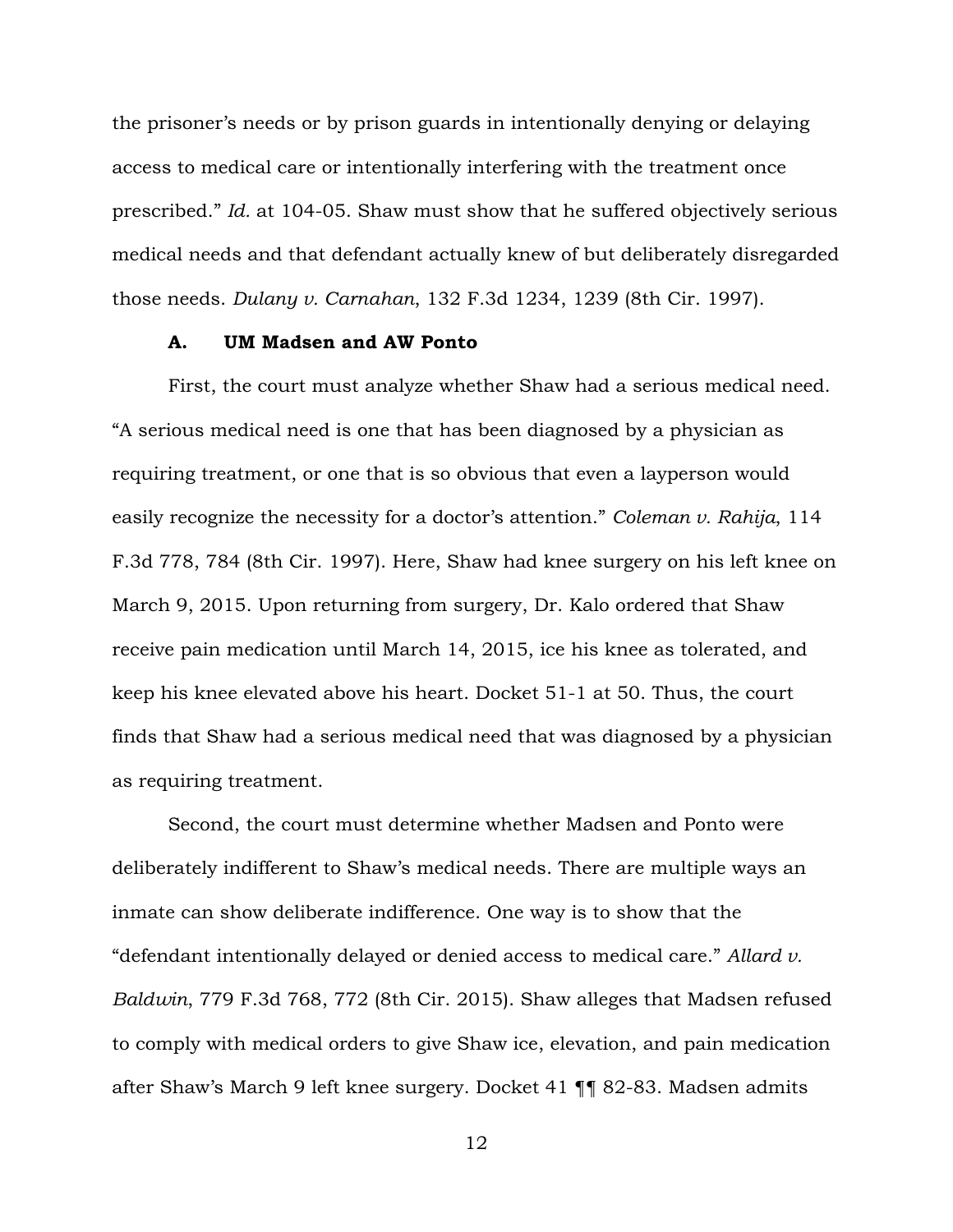the prisoner's needs or by prison guards in intentionally denying or delaying access to medical care or intentionally interfering with the treatment once prescribed." *Id.* at 104-05. Shaw must show that he suffered objectively serious medical needs and that defendant actually knew of but deliberately disregarded those needs. *Dulany v. Carnahan*, 132 F.3d 1234, 1239 (8th Cir. 1997).

### **A. UM Madsen and AW Ponto**

First, the court must analyze whether Shaw had a serious medical need. "A serious medical need is one that has been diagnosed by a physician as requiring treatment, or one that is so obvious that even a layperson would easily recognize the necessity for a doctor's attention." *Coleman v. Rahija*, 114 F.3d 778, 784 (8th Cir. 1997). Here, Shaw had knee surgery on his left knee on March 9, 2015. Upon returning from surgery, Dr. Kalo ordered that Shaw receive pain medication until March 14, 2015, ice his knee as tolerated, and keep his knee elevated above his heart. Docket 51-1 at 50. Thus, the court finds that Shaw had a serious medical need that was diagnosed by a physician as requiring treatment.

Second, the court must determine whether Madsen and Ponto were deliberately indifferent to Shaw's medical needs. There are multiple ways an inmate can show deliberate indifference. One way is to show that the "defendant intentionally delayed or denied access to medical care." *Allard v. Baldwin*, 779 F.3d 768, 772 (8th Cir. 2015). Shaw alleges that Madsen refused to comply with medical orders to give Shaw ice, elevation, and pain medication after Shaw's March 9 left knee surgery. Docket 41 ¶¶ 82-83. Madsen admits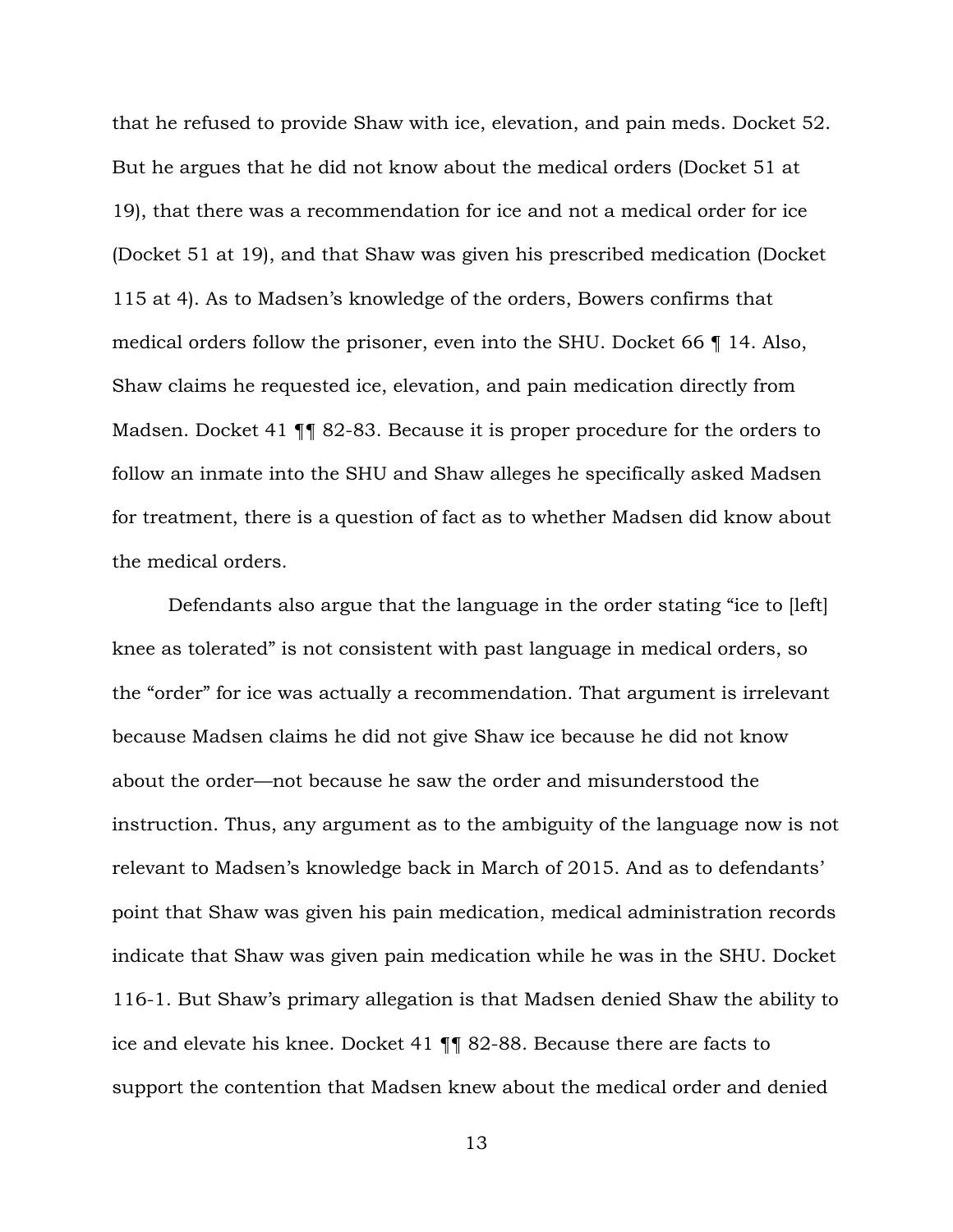that he refused to provide Shaw with ice, elevation, and pain meds. Docket 52. But he argues that he did not know about the medical orders (Docket 51 at 19), that there was a recommendation for ice and not a medical order for ice (Docket 51 at 19), and that Shaw was given his prescribed medication (Docket 115 at 4). As to Madsen's knowledge of the orders, Bowers confirms that medical orders follow the prisoner, even into the SHU. Docket 66 ¶ 14. Also, Shaw claims he requested ice, elevation, and pain medication directly from Madsen. Docket 41 ¶¶ 82-83. Because it is proper procedure for the orders to follow an inmate into the SHU and Shaw alleges he specifically asked Madsen for treatment, there is a question of fact as to whether Madsen did know about the medical orders.

Defendants also argue that the language in the order stating "ice to [left] knee as tolerated" is not consistent with past language in medical orders, so the "order" for ice was actually a recommendation. That argument is irrelevant because Madsen claims he did not give Shaw ice because he did not know about the order—not because he saw the order and misunderstood the instruction. Thus, any argument as to the ambiguity of the language now is not relevant to Madsen's knowledge back in March of 2015. And as to defendants' point that Shaw was given his pain medication, medical administration records indicate that Shaw was given pain medication while he was in the SHU. Docket 116-1. But Shaw's primary allegation is that Madsen denied Shaw the ability to ice and elevate his knee. Docket 41 ¶¶ 82-88. Because there are facts to support the contention that Madsen knew about the medical order and denied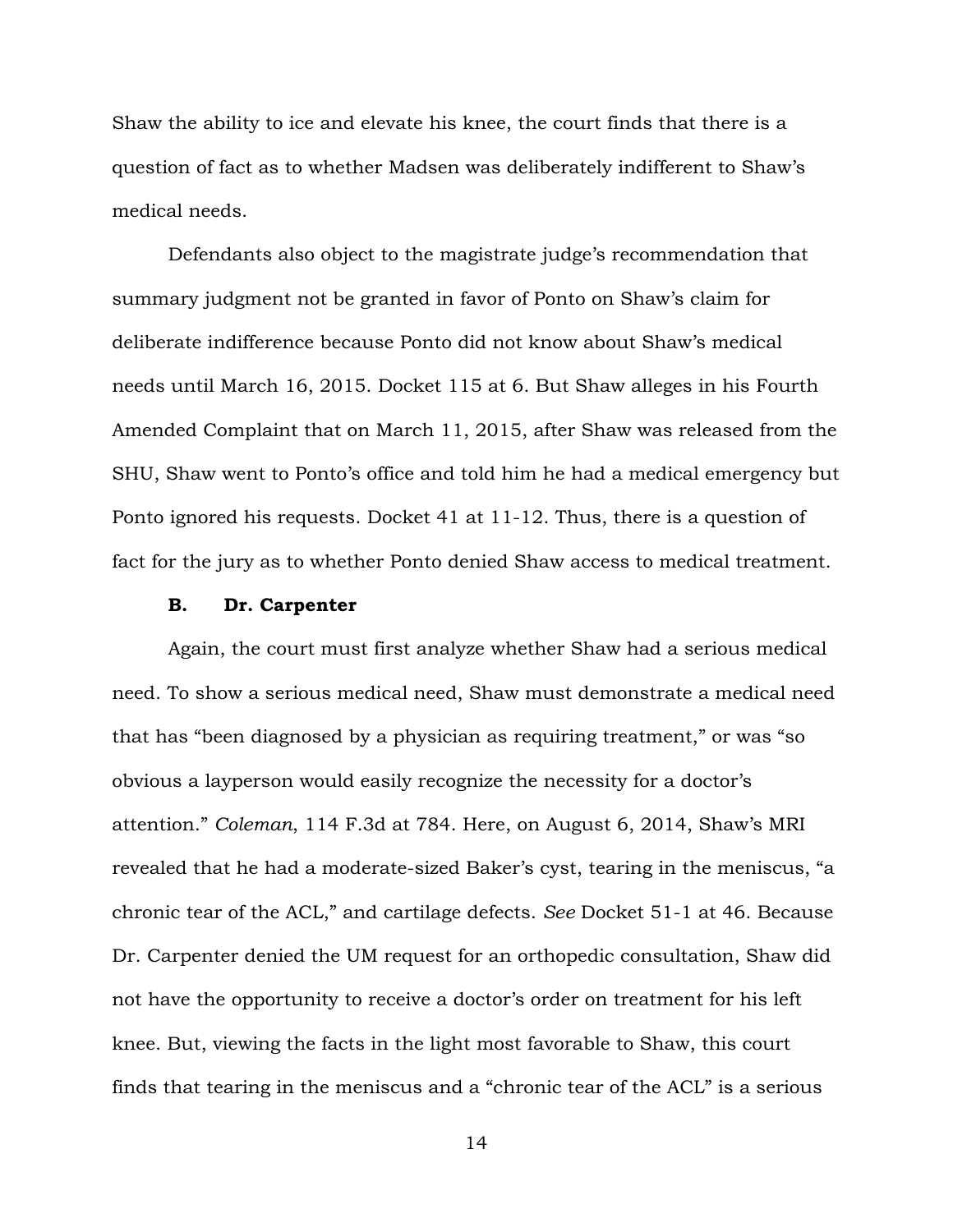Shaw the ability to ice and elevate his knee, the court finds that there is a question of fact as to whether Madsen was deliberately indifferent to Shaw's medical needs.

Defendants also object to the magistrate judge's recommendation that summary judgment not be granted in favor of Ponto on Shaw's claim for deliberate indifference because Ponto did not know about Shaw's medical needs until March 16, 2015. Docket 115 at 6. But Shaw alleges in his Fourth Amended Complaint that on March 11, 2015, after Shaw was released from the SHU, Shaw went to Ponto's office and told him he had a medical emergency but Ponto ignored his requests. Docket 41 at 11-12. Thus, there is a question of fact for the jury as to whether Ponto denied Shaw access to medical treatment.

## **B. Dr. Carpenter**

Again, the court must first analyze whether Shaw had a serious medical need. To show a serious medical need, Shaw must demonstrate a medical need that has "been diagnosed by a physician as requiring treatment," or was "so obvious a layperson would easily recognize the necessity for a doctor's attention." *Coleman*, 114 F.3d at 784. Here, on August 6, 2014, Shaw's MRI revealed that he had a moderate-sized Baker's cyst, tearing in the meniscus, "a chronic tear of the ACL," and cartilage defects. *See* Docket 51-1 at 46. Because Dr. Carpenter denied the UM request for an orthopedic consultation, Shaw did not have the opportunity to receive a doctor's order on treatment for his left knee. But, viewing the facts in the light most favorable to Shaw, this court finds that tearing in the meniscus and a "chronic tear of the ACL" is a serious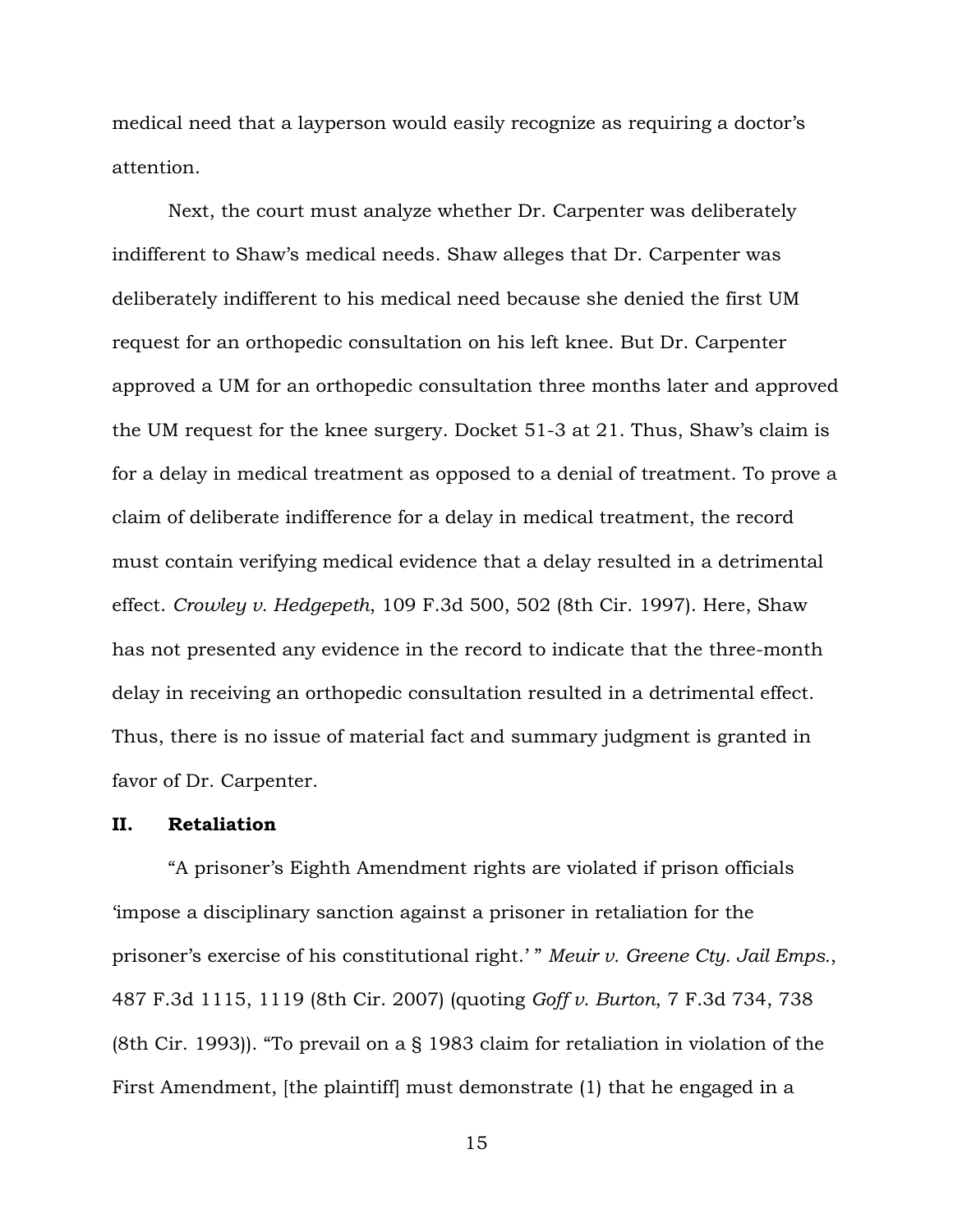medical need that a layperson would easily recognize as requiring a doctor's attention.

Next, the court must analyze whether Dr. Carpenter was deliberately indifferent to Shaw's medical needs. Shaw alleges that Dr. Carpenter was deliberately indifferent to his medical need because she denied the first UM request for an orthopedic consultation on his left knee. But Dr. Carpenter approved a UM for an orthopedic consultation three months later and approved the UM request for the knee surgery. Docket 51-3 at 21. Thus, Shaw's claim is for a delay in medical treatment as opposed to a denial of treatment. To prove a claim of deliberate indifference for a delay in medical treatment, the record must contain verifying medical evidence that a delay resulted in a detrimental effect. *Crowley v. Hedgepeth*, 109 F.3d 500, 502 (8th Cir. 1997). Here, Shaw has not presented any evidence in the record to indicate that the three-month delay in receiving an orthopedic consultation resulted in a detrimental effect. Thus, there is no issue of material fact and summary judgment is granted in favor of Dr. Carpenter.

# **II. Retaliation**

 "A prisoner's Eighth Amendment rights are violated if prison officials 'impose a disciplinary sanction against a prisoner in retaliation for the prisoner's exercise of his constitutional right.' " *Meuir v. Greene Cty. Jail Emps.*, 487 F.3d 1115, 1119 (8th Cir. 2007) (quoting *Goff v. Burton*, 7 F.3d 734, 738 (8th Cir. 1993)). "To prevail on a § 1983 claim for retaliation in violation of the First Amendment, [the plaintiff] must demonstrate (1) that he engaged in a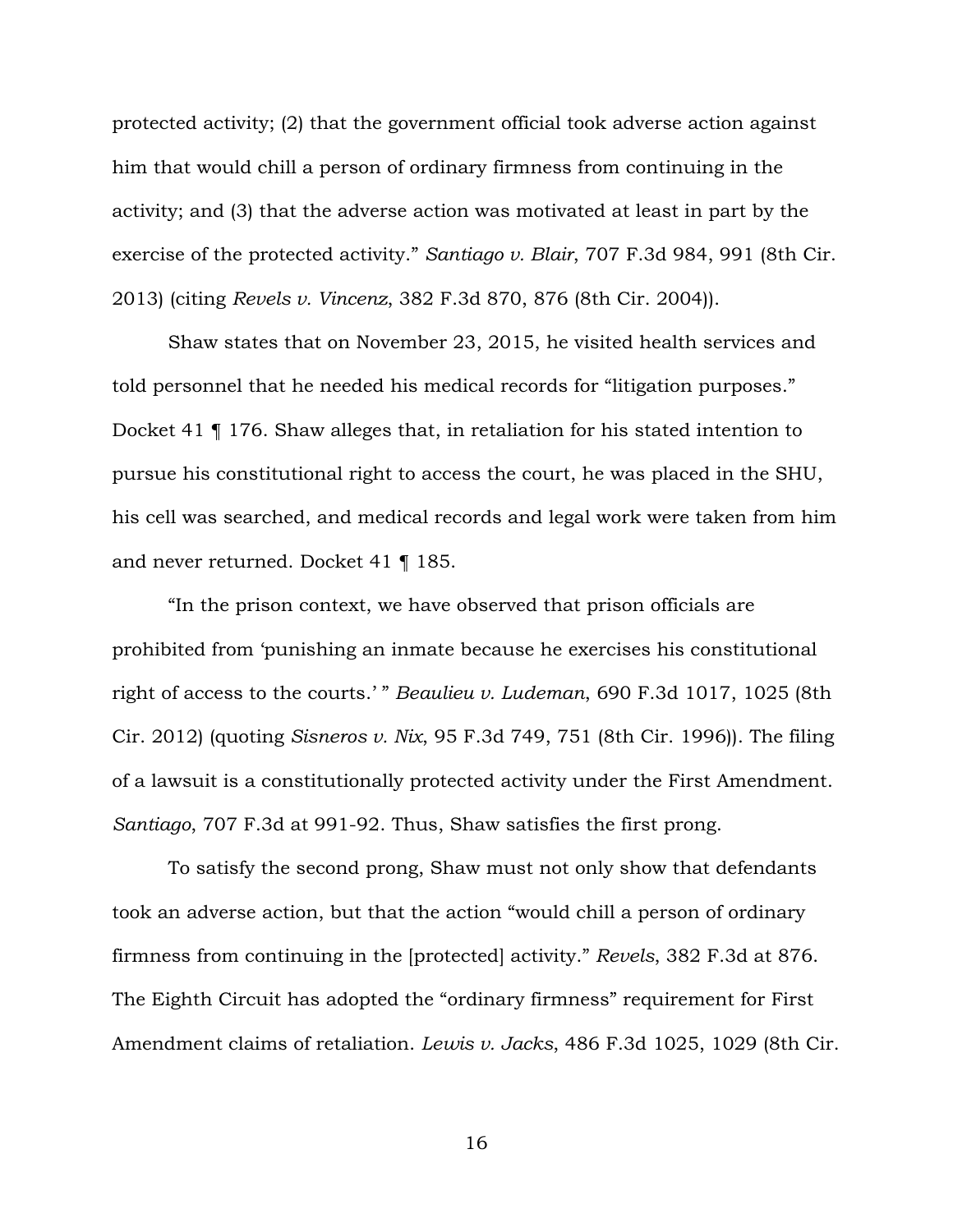protected activity; (2) that the government official took adverse action against him that would chill a person of ordinary firmness from continuing in the activity; and (3) that the adverse action was motivated at least in part by the exercise of the protected activity." *Santiago v. Blair*, 707 F.3d 984, 991 (8th Cir. 2013) (citing *Revels v. Vincenz*, 382 F.3d 870, 876 (8th Cir. 2004)).

 Shaw states that on November 23, 2015, he visited health services and told personnel that he needed his medical records for "litigation purposes." Docket 41 ¶ 176. Shaw alleges that, in retaliation for his stated intention to pursue his constitutional right to access the court, he was placed in the SHU, his cell was searched, and medical records and legal work were taken from him and never returned. Docket 41 ¶ 185.

"In the prison context, we have observed that prison officials are prohibited from 'punishing an inmate because he exercises his constitutional right of access to the courts.' " *Beaulieu v. Ludeman*, 690 F.3d 1017, 1025 (8th Cir. 2012) (quoting *Sisneros v. Nix*, 95 F.3d 749, 751 (8th Cir. 1996)). The filing of a lawsuit is a constitutionally protected activity under the First Amendment. *Santiago*, 707 F.3d at 991-92. Thus, Shaw satisfies the first prong.

To satisfy the second prong, Shaw must not only show that defendants took an adverse action, but that the action "would chill a person of ordinary firmness from continuing in the [protected] activity." *Revels*, 382 F.3d at 876. The Eighth Circuit has adopted the "ordinary firmness" requirement for First Amendment claims of retaliation. *Lewis v. Jacks*, 486 F.3d 1025, 1029 (8th Cir.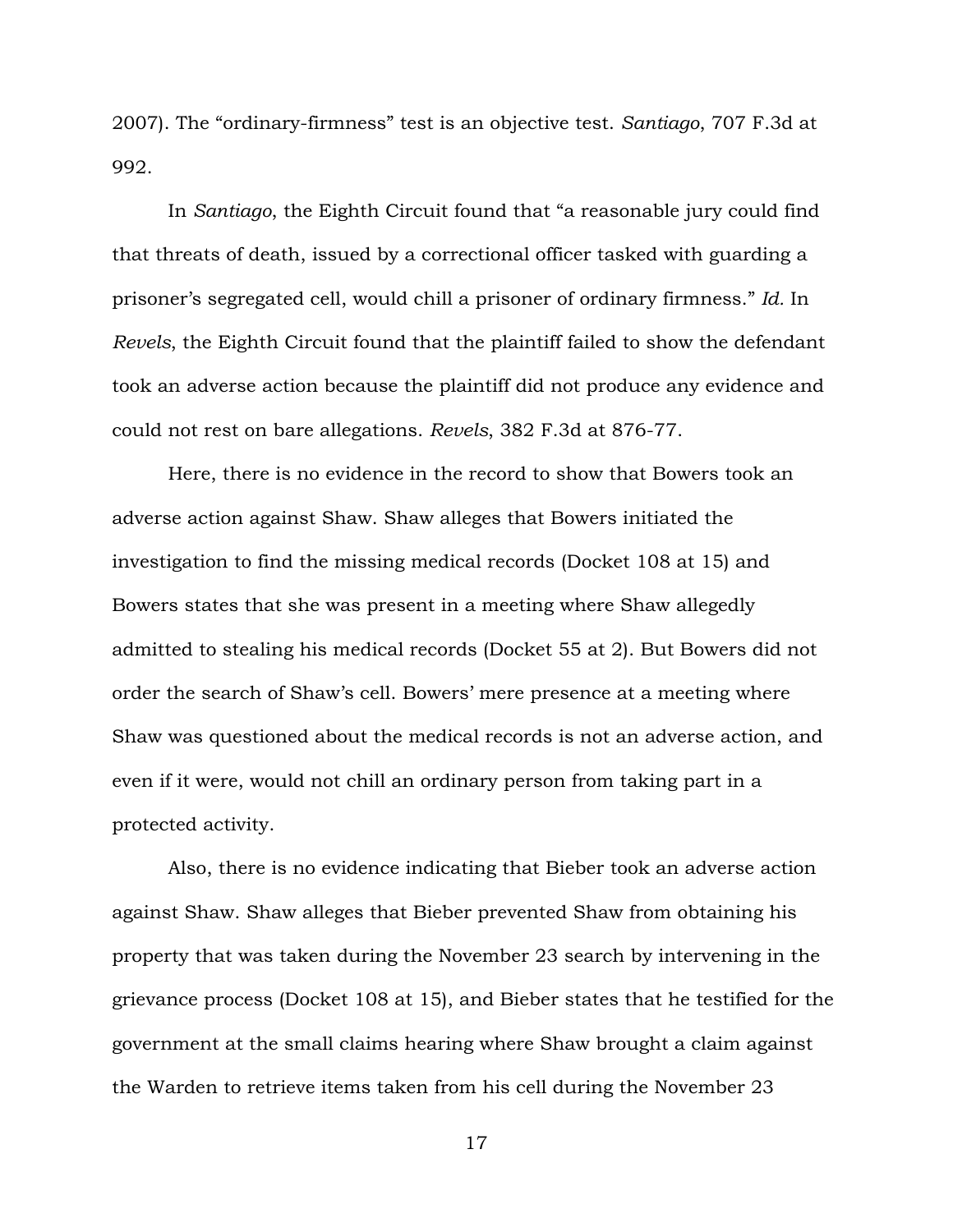2007). The "ordinary-firmness" test is an objective test. *Santiago*, 707 F.3d at 992.

In *Santiago*, the Eighth Circuit found that "a reasonable jury could find that threats of death, issued by a correctional officer tasked with guarding a prisoner's segregated cell, would chill a prisoner of ordinary firmness." *Id.* In *Revels*, the Eighth Circuit found that the plaintiff failed to show the defendant took an adverse action because the plaintiff did not produce any evidence and could not rest on bare allegations. *Revels*, 382 F.3d at 876-77.

Here, there is no evidence in the record to show that Bowers took an adverse action against Shaw. Shaw alleges that Bowers initiated the investigation to find the missing medical records (Docket 108 at 15) and Bowers states that she was present in a meeting where Shaw allegedly admitted to stealing his medical records (Docket 55 at 2). But Bowers did not order the search of Shaw's cell. Bowers' mere presence at a meeting where Shaw was questioned about the medical records is not an adverse action, and even if it were, would not chill an ordinary person from taking part in a protected activity.

Also, there is no evidence indicating that Bieber took an adverse action against Shaw. Shaw alleges that Bieber prevented Shaw from obtaining his property that was taken during the November 23 search by intervening in the grievance process (Docket 108 at 15), and Bieber states that he testified for the government at the small claims hearing where Shaw brought a claim against the Warden to retrieve items taken from his cell during the November 23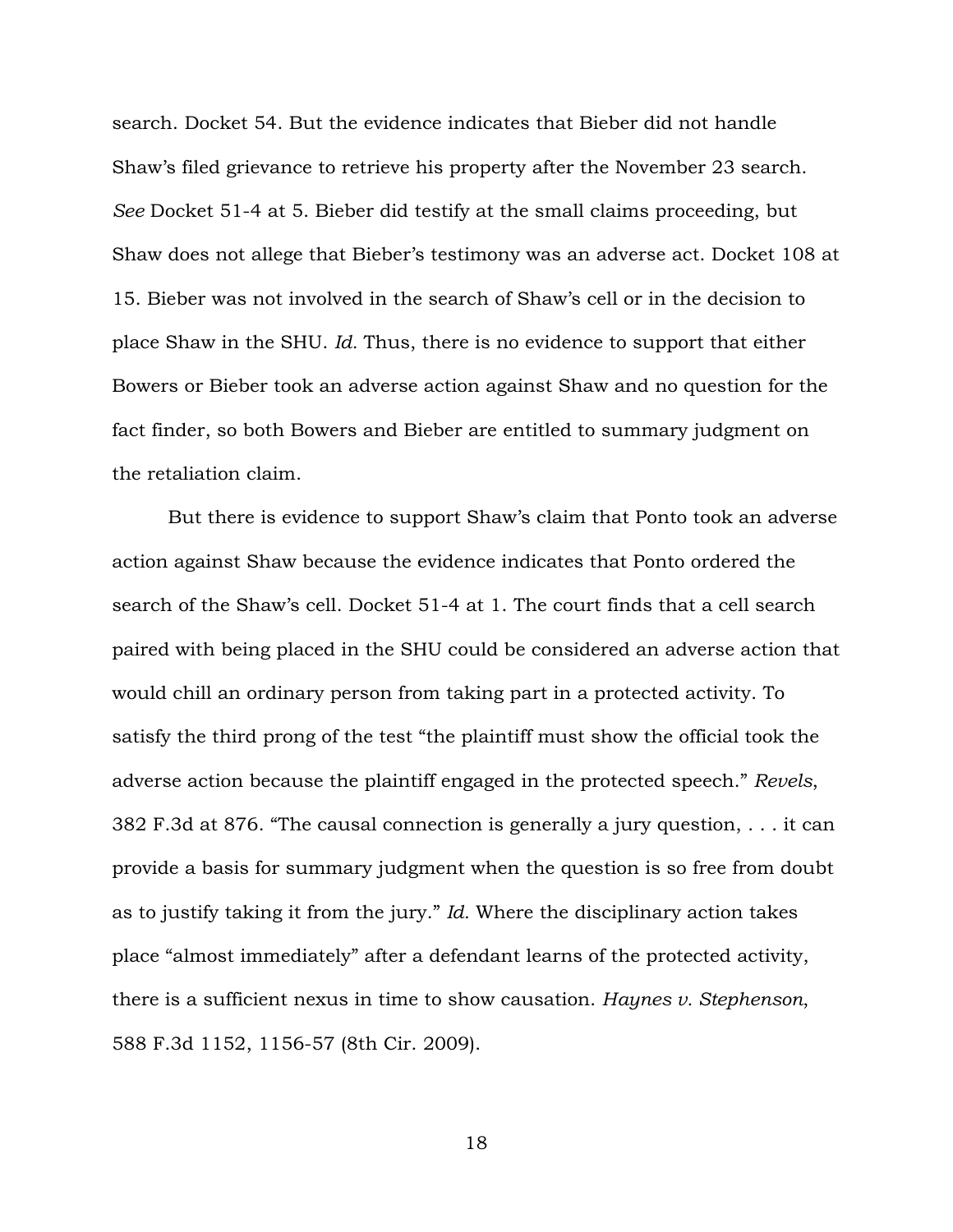search. Docket 54. But the evidence indicates that Bieber did not handle Shaw's filed grievance to retrieve his property after the November 23 search. *See* Docket 51-4 at 5. Bieber did testify at the small claims proceeding, but Shaw does not allege that Bieber's testimony was an adverse act. Docket 108 at 15. Bieber was not involved in the search of Shaw's cell or in the decision to place Shaw in the SHU. *Id.* Thus, there is no evidence to support that either Bowers or Bieber took an adverse action against Shaw and no question for the fact finder, so both Bowers and Bieber are entitled to summary judgment on the retaliation claim.

But there is evidence to support Shaw's claim that Ponto took an adverse action against Shaw because the evidence indicates that Ponto ordered the search of the Shaw's cell. Docket 51-4 at 1. The court finds that a cell search paired with being placed in the SHU could be considered an adverse action that would chill an ordinary person from taking part in a protected activity. To satisfy the third prong of the test "the plaintiff must show the official took the adverse action because the plaintiff engaged in the protected speech." *Revels*, 382 F.3d at 876. "The causal connection is generally a jury question, . . . it can provide a basis for summary judgment when the question is so free from doubt as to justify taking it from the jury." *Id.* Where the disciplinary action takes place "almost immediately" after a defendant learns of the protected activity, there is a sufficient nexus in time to show causation. *Haynes v. Stephenson*, 588 F.3d 1152, 1156-57 (8th Cir. 2009).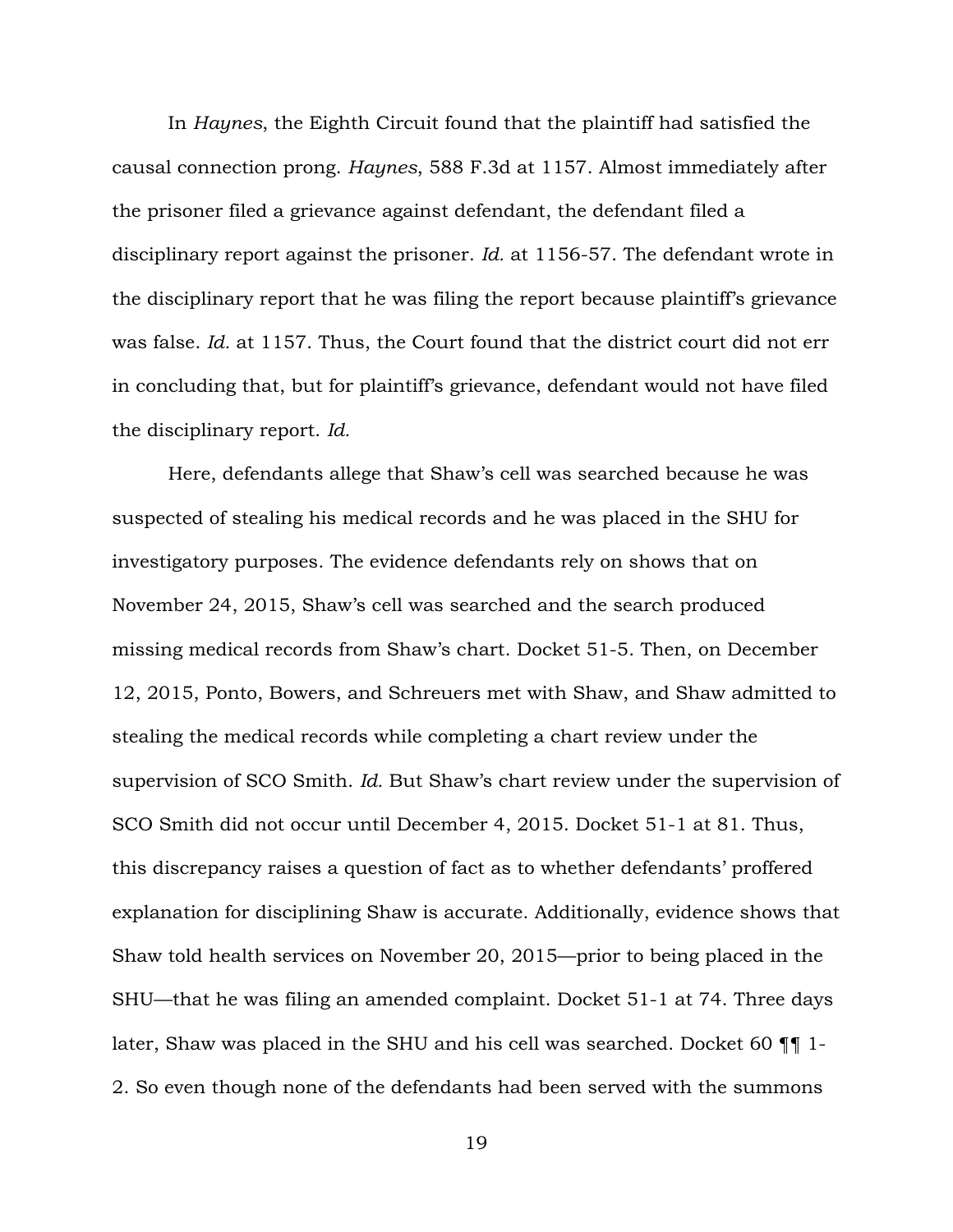In *Haynes*, the Eighth Circuit found that the plaintiff had satisfied the causal connection prong. *Haynes*, 588 F.3d at 1157. Almost immediately after the prisoner filed a grievance against defendant, the defendant filed a disciplinary report against the prisoner. *Id.* at 1156-57. The defendant wrote in the disciplinary report that he was filing the report because plaintiff's grievance was false. *Id.* at 1157. Thus, the Court found that the district court did not err in concluding that, but for plaintiff's grievance, defendant would not have filed the disciplinary report. *Id.*

Here, defendants allege that Shaw's cell was searched because he was suspected of stealing his medical records and he was placed in the SHU for investigatory purposes. The evidence defendants rely on shows that on November 24, 2015, Shaw's cell was searched and the search produced missing medical records from Shaw's chart. Docket 51-5. Then, on December 12, 2015, Ponto, Bowers, and Schreuers met with Shaw, and Shaw admitted to stealing the medical records while completing a chart review under the supervision of SCO Smith. *Id.* But Shaw's chart review under the supervision of SCO Smith did not occur until December 4, 2015. Docket 51-1 at 81. Thus, this discrepancy raises a question of fact as to whether defendants' proffered explanation for disciplining Shaw is accurate. Additionally, evidence shows that Shaw told health services on November 20, 2015—prior to being placed in the SHU—that he was filing an amended complaint. Docket 51-1 at 74. Three days later, Shaw was placed in the SHU and his cell was searched. Docket 60 ¶¶ 1- 2. So even though none of the defendants had been served with the summons